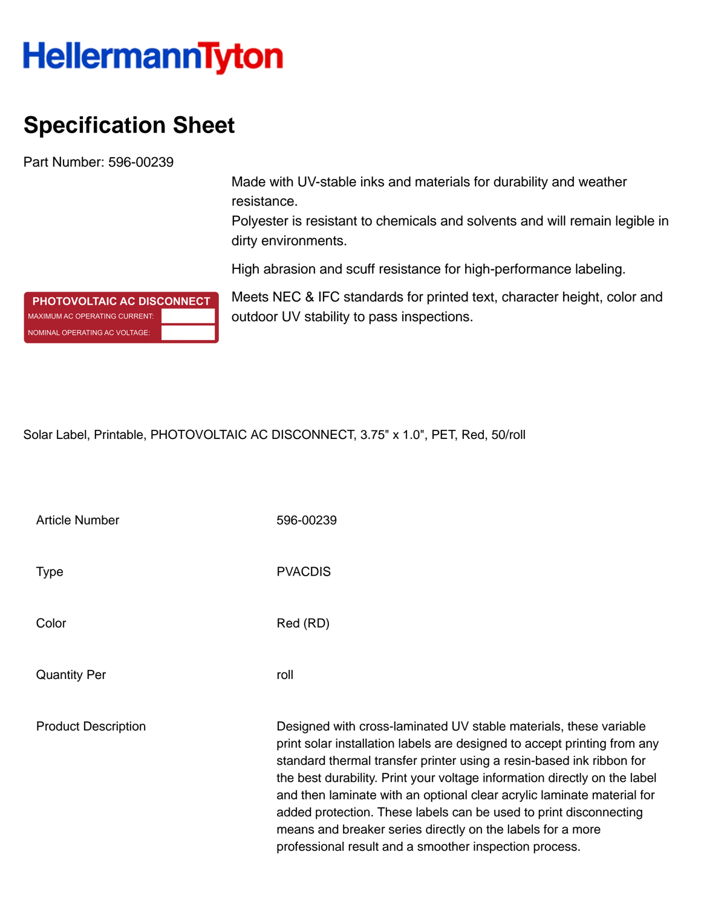## **HellermannTyton**

## **Specification Sheet**

Part Number: 596-00239

Made with UV-stable inks and materials for durability and weather resistance.

Polyester is resistant to chemicals and solvents and will remain legible in dirty environments.

High abrasion and scuff resistance for high-performance labeling.

Meets NEC & IFC standards for printed text, character height, color and outdoor UV stability to pass inspections.

Solar Label, Printable, PHOTOVOLTAIC AC DISCONNECT, 3.75" x 1.0", PET, Red, 50/roll

| <b>Article Number</b>      | 596-00239                                                                                                                                                                                                                                                                                                                                                                                                                                                                                                                                                                 |
|----------------------------|---------------------------------------------------------------------------------------------------------------------------------------------------------------------------------------------------------------------------------------------------------------------------------------------------------------------------------------------------------------------------------------------------------------------------------------------------------------------------------------------------------------------------------------------------------------------------|
| <b>Type</b>                | <b>PVACDIS</b>                                                                                                                                                                                                                                                                                                                                                                                                                                                                                                                                                            |
| Color                      | Red (RD)                                                                                                                                                                                                                                                                                                                                                                                                                                                                                                                                                                  |
| <b>Quantity Per</b>        | roll                                                                                                                                                                                                                                                                                                                                                                                                                                                                                                                                                                      |
| <b>Product Description</b> | Designed with cross-laminated UV stable materials, these variable<br>print solar installation labels are designed to accept printing from any<br>standard thermal transfer printer using a resin-based ink ribbon for<br>the best durability. Print your voltage information directly on the label<br>and then laminate with an optional clear acrylic laminate material for<br>added protection. These labels can be used to print disconnecting<br>means and breaker series directly on the labels for a more<br>professional result and a smoother inspection process. |

PHOTOVOLTAIC AC DISCONNECT MAXIMUM AC OPERATING CURRENT: NOMINAL OPERATING AC VOLTAGE: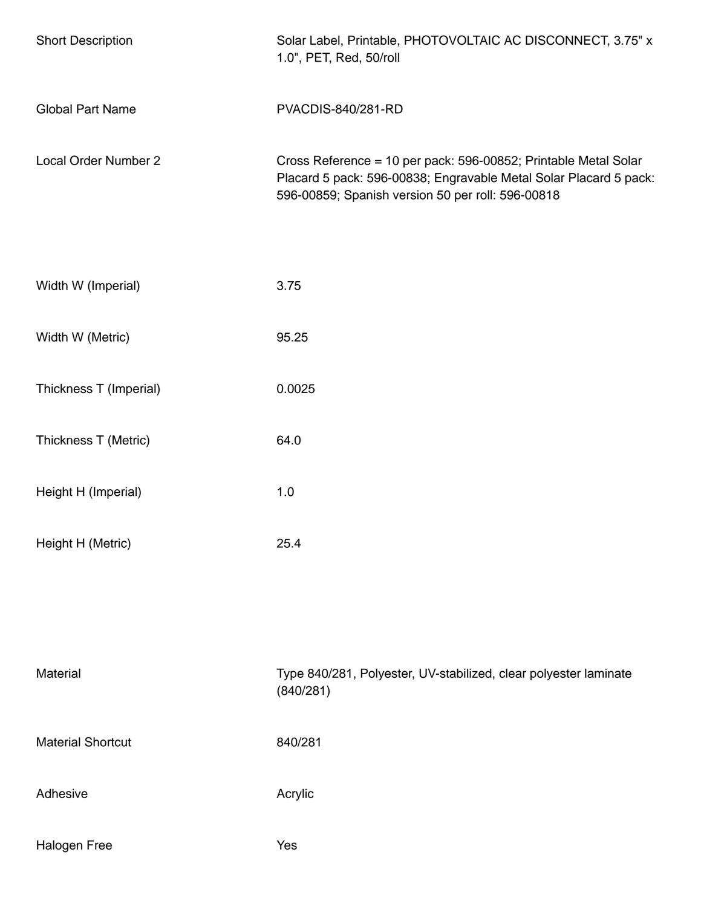| <b>Short Description</b> | Solar Label, Printable, PHOTOVOLTAIC AC DISCONNECT, 3.75" x<br>1.0", PET, Red, 50/roll                                                                                                    |
|--------------------------|-------------------------------------------------------------------------------------------------------------------------------------------------------------------------------------------|
| <b>Global Part Name</b>  | <b>PVACDIS-840/281-RD</b>                                                                                                                                                                 |
| Local Order Number 2     | Cross Reference = 10 per pack: 596-00852; Printable Metal Solar<br>Placard 5 pack: 596-00838; Engravable Metal Solar Placard 5 pack:<br>596-00859; Spanish version 50 per roll: 596-00818 |
| Width W (Imperial)       | 3.75                                                                                                                                                                                      |
| Width W (Metric)         | 95.25                                                                                                                                                                                     |
| Thickness T (Imperial)   | 0.0025                                                                                                                                                                                    |
| Thickness T (Metric)     | 64.0                                                                                                                                                                                      |
| Height H (Imperial)      | 1.0                                                                                                                                                                                       |
| Height H (Metric)        | 25.4                                                                                                                                                                                      |
|                          |                                                                                                                                                                                           |
|                          |                                                                                                                                                                                           |
| Material                 | Type 840/281, Polyester, UV-stabilized, clear polyester laminate<br>(840/281)                                                                                                             |
| <b>Material Shortcut</b> | 840/281                                                                                                                                                                                   |
| Adhesive                 | Acrylic                                                                                                                                                                                   |
| Halogen Free             | Yes                                                                                                                                                                                       |